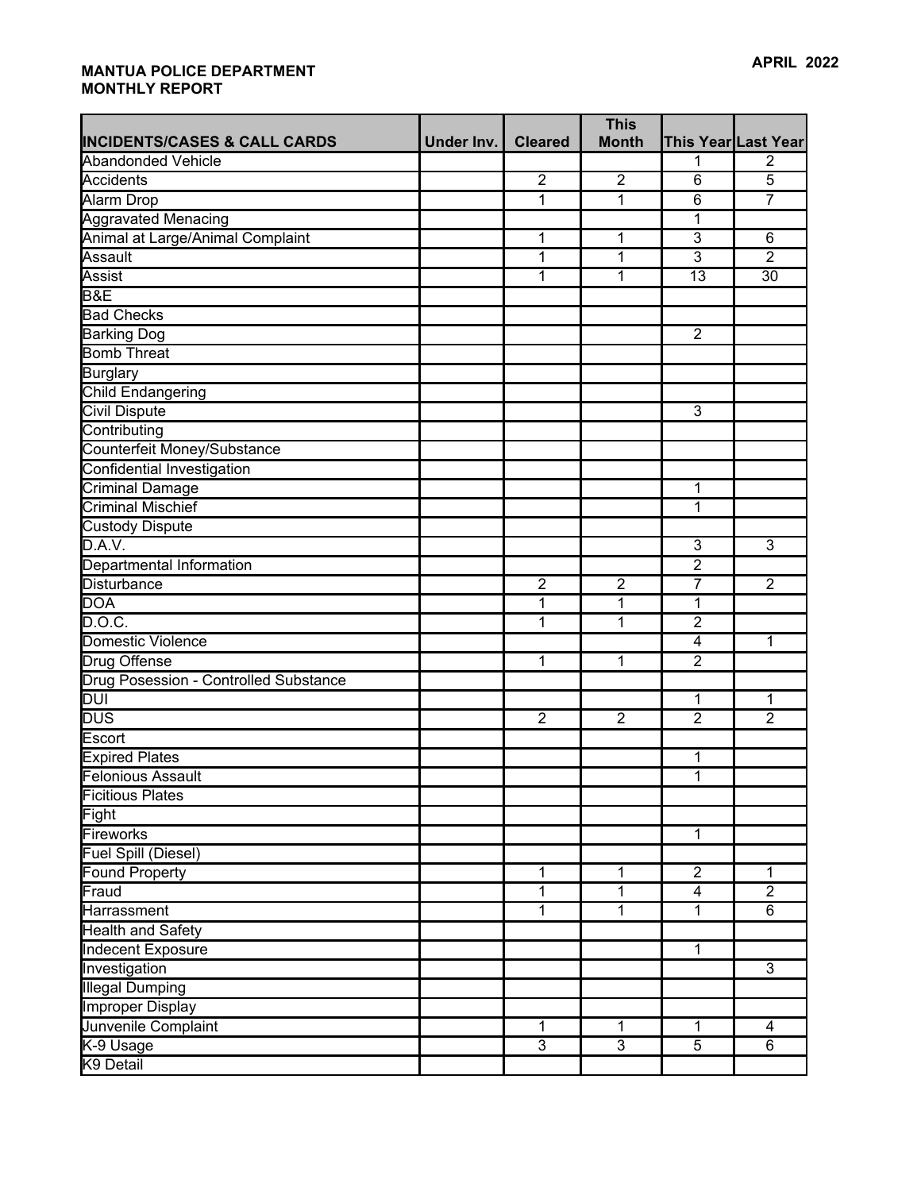| <b>INCIDENTS/CASES &amp; CALL CARDS</b> | Under Inv. | <b>Cleared</b> | <b>This</b><br><b>Month</b> |                         | This Year Last Year |
|-----------------------------------------|------------|----------------|-----------------------------|-------------------------|---------------------|
| <b>Abandonded Vehicle</b>               |            |                |                             | 1                       | $\overline{2}$      |
| Accidents                               |            | $\overline{2}$ | $\overline{2}$              | $\overline{6}$          | $\overline{5}$      |
| Alarm Drop                              |            | $\overline{1}$ | $\overline{1}$              | $\overline{6}$          | $\overline{7}$      |
|                                         |            |                |                             |                         |                     |
| <b>Aggravated Menacing</b>              |            |                |                             | 1<br>$\overline{3}$     |                     |
| Animal at Large/Animal Complaint        |            | 1              | 1                           |                         | 6                   |
| Assault                                 |            | 1              | 1                           | 3                       | $\overline{2}$      |
| Assist                                  |            | 1              | 1                           | $\overline{13}$         | 30                  |
| <b>B&amp;E</b>                          |            |                |                             |                         |                     |
| <b>Bad Checks</b>                       |            |                |                             |                         |                     |
| <b>Barking Dog</b>                      |            |                |                             | $\overline{2}$          |                     |
| <b>Bomb Threat</b>                      |            |                |                             |                         |                     |
| <b>Burglary</b>                         |            |                |                             |                         |                     |
| <b>Child Endangering</b>                |            |                |                             |                         |                     |
| <b>Civil Dispute</b>                    |            |                |                             | $\overline{3}$          |                     |
| Contributing                            |            |                |                             |                         |                     |
| Counterfeit Money/Substance             |            |                |                             |                         |                     |
| Confidential Investigation              |            |                |                             |                         |                     |
| <b>Criminal Damage</b>                  |            |                |                             | 1                       |                     |
| <b>Criminal Mischief</b>                |            |                |                             | 1                       |                     |
| <b>Custody Dispute</b>                  |            |                |                             |                         |                     |
| D.A.V.                                  |            |                |                             | $\overline{3}$          | $\overline{3}$      |
| Departmental Information                |            |                |                             | $\overline{2}$          |                     |
| Disturbance                             |            | $\overline{2}$ | $\overline{2}$              | 7                       | $\overline{2}$      |
| <b>DOA</b>                              |            | $\overline{1}$ | $\overline{1}$              | $\overline{1}$          |                     |
| D.O.C.                                  |            | 1              | 1                           | $\overline{2}$          |                     |
| Domestic Violence                       |            |                |                             | $\overline{\mathbf{4}}$ | 1                   |
| Drug Offense                            |            | 1              | 1                           | $\overline{2}$          |                     |
| Drug Posession - Controlled Substance   |            |                |                             |                         |                     |
| <b>DUI</b>                              |            |                |                             | $\mathbf{1}$            | 1                   |
| <b>DUS</b>                              |            | $\overline{2}$ | $\overline{2}$              | $\overline{2}$          | $\overline{2}$      |
| Escort                                  |            |                |                             |                         |                     |
| <b>Expired Plates</b>                   |            |                |                             | 1                       |                     |
| <b>Felonious Assault</b>                |            |                |                             | $\overline{1}$          |                     |
| Ficitious Plates                        |            |                |                             |                         |                     |
| Fight                                   |            |                |                             |                         |                     |
| Fireworks                               |            |                |                             | $\mathbf{1}$            |                     |
| <b>Fuel Spill (Diesel)</b>              |            |                |                             |                         |                     |
| Found Property                          |            | 1              | 1                           | $\overline{2}$          | 1                   |
| Fraud                                   |            | $\overline{1}$ | $\overline{1}$              | $\overline{4}$          | $\overline{2}$      |
| Harrassment                             |            | 1              | 1                           | $\mathbf{1}$            | 6                   |
| <b>Health and Safety</b>                |            |                |                             |                         |                     |
| <b>Indecent Exposure</b>                |            |                |                             | $\mathbf{1}$            |                     |
| Investigation                           |            |                |                             |                         | $\overline{3}$      |
|                                         |            |                |                             |                         |                     |
| <b>Illegal Dumping</b>                  |            |                |                             |                         |                     |
| <b>Improper Display</b>                 |            |                |                             |                         |                     |
| Junvenile Complaint                     |            | $\mathbf{1}$   | 1                           | $\mathbf{1}$            | 4                   |
| K-9 Usage                               |            | $\overline{3}$ | $\overline{3}$              | $\overline{5}$          | 6                   |
| K9 Detail                               |            |                |                             |                         |                     |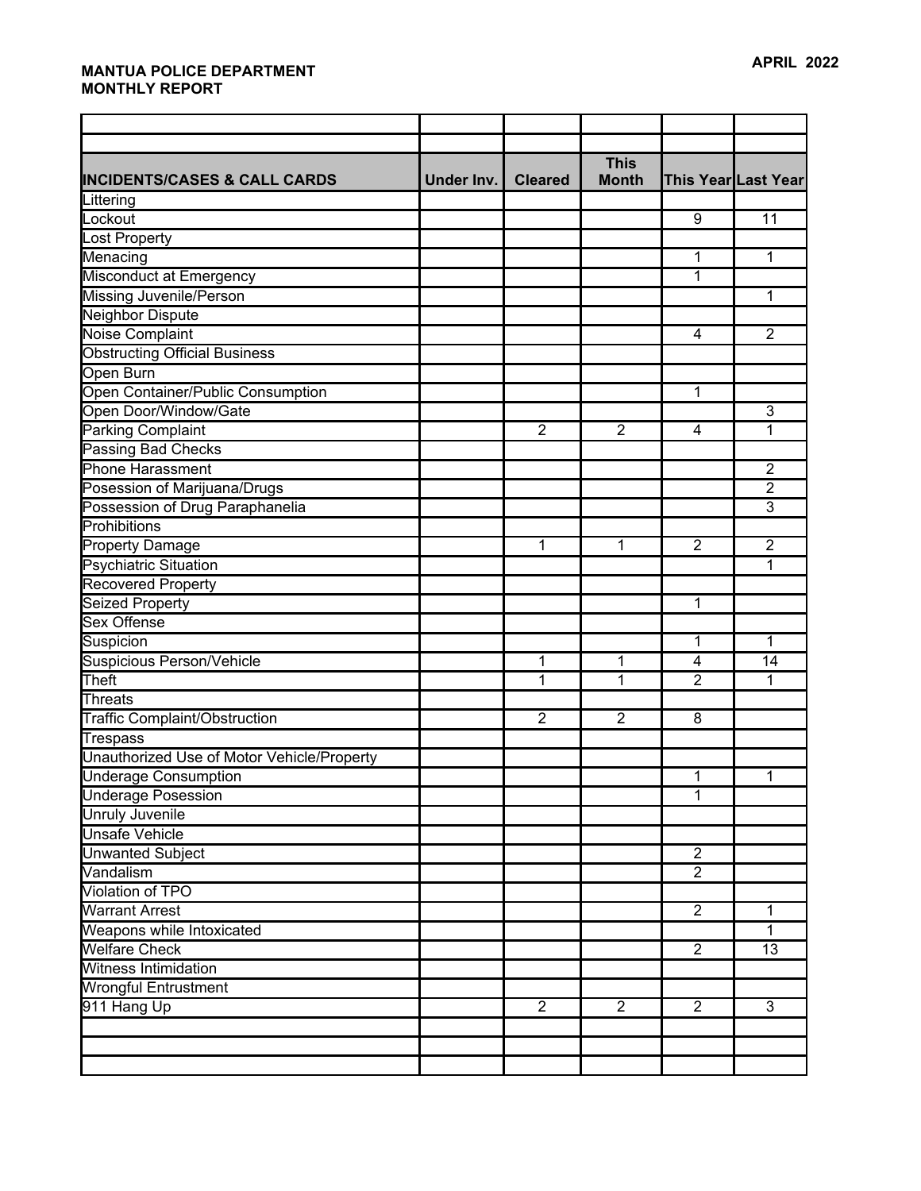| <b>This</b><br><b>Month</b><br>This Year Last Year<br>Under Inv.<br><b>Cleared</b><br>9<br>11<br>1<br>1<br>1<br>Misconduct at Emergency<br><b>Missing Juvenile/Person</b><br>1<br><b>Neighbor Dispute</b><br><b>Noise Complaint</b><br>$\overline{2}$<br>4<br><b>Obstructing Official Business</b><br>Open Burn<br>Open Container/Public Consumption<br>1<br>Open Door/Window/Gate<br>$\overline{3}$<br><b>Parking Complaint</b><br>$\overline{2}$<br>$\overline{2}$<br>1<br>4<br><b>Passing Bad Checks</b><br>Phone Harassment<br>2<br>Posession of Marijuana/Drugs<br>$\overline{2}$<br>Possession of Drug Paraphanelia<br>3<br>Prohibitions<br>Property Damage<br>1<br>1<br>$\overline{2}$<br>$\overline{2}$<br><b>Psychiatric Situation</b><br>1<br><b>Recovered Property</b><br><b>Seized Property</b><br>1<br><b>Sex Offense</b><br>Suspicion<br>1<br>1<br>Suspicious Person/Vehicle<br>1<br>1<br>$\overline{\mathbf{4}}$<br>14<br>Theft<br>$\overline{2}$<br>1<br>1<br>1<br>Threats<br><b>Traffic Complaint/Obstruction</b><br>$\overline{2}$<br>$\overline{2}$<br>8<br><b>Trespass</b><br>Unauthorized Use of Motor Vehicle/Property<br><b>Underage Consumption</b><br>1<br>1<br><b>Underage Posession</b><br>1<br><b>Unruly Juvenile</b><br><b>Unsafe Vehicle</b><br>$\overline{2}$<br>Unwanted Subject<br>$\overline{2}$<br>Vandalism<br>Violation of TPO<br>$\overline{2}$<br><b>Warrant Arrest</b><br>1<br>Weapons while Intoxicated<br>1<br><b>Welfare Check</b><br>$\overline{2}$<br>13<br><b>Witness Intimidation</b><br><b>Wrongful Entrustment</b><br>911 Hang Up<br>$\overline{2}$<br>$\overline{2}$<br>$\overline{2}$<br>3 |                                         |  |  |  |
|-----------------------------------------------------------------------------------------------------------------------------------------------------------------------------------------------------------------------------------------------------------------------------------------------------------------------------------------------------------------------------------------------------------------------------------------------------------------------------------------------------------------------------------------------------------------------------------------------------------------------------------------------------------------------------------------------------------------------------------------------------------------------------------------------------------------------------------------------------------------------------------------------------------------------------------------------------------------------------------------------------------------------------------------------------------------------------------------------------------------------------------------------------------------------------------------------------------------------------------------------------------------------------------------------------------------------------------------------------------------------------------------------------------------------------------------------------------------------------------------------------------------------------------------------------------------------------------------------------------------------------------------------|-----------------------------------------|--|--|--|
|                                                                                                                                                                                                                                                                                                                                                                                                                                                                                                                                                                                                                                                                                                                                                                                                                                                                                                                                                                                                                                                                                                                                                                                                                                                                                                                                                                                                                                                                                                                                                                                                                                               |                                         |  |  |  |
|                                                                                                                                                                                                                                                                                                                                                                                                                                                                                                                                                                                                                                                                                                                                                                                                                                                                                                                                                                                                                                                                                                                                                                                                                                                                                                                                                                                                                                                                                                                                                                                                                                               |                                         |  |  |  |
|                                                                                                                                                                                                                                                                                                                                                                                                                                                                                                                                                                                                                                                                                                                                                                                                                                                                                                                                                                                                                                                                                                                                                                                                                                                                                                                                                                                                                                                                                                                                                                                                                                               | <b>INCIDENTS/CASES &amp; CALL CARDS</b> |  |  |  |
|                                                                                                                                                                                                                                                                                                                                                                                                                                                                                                                                                                                                                                                                                                                                                                                                                                                                                                                                                                                                                                                                                                                                                                                                                                                                                                                                                                                                                                                                                                                                                                                                                                               | Littering                               |  |  |  |
|                                                                                                                                                                                                                                                                                                                                                                                                                                                                                                                                                                                                                                                                                                                                                                                                                                                                                                                                                                                                                                                                                                                                                                                                                                                                                                                                                                                                                                                                                                                                                                                                                                               | Lockout                                 |  |  |  |
|                                                                                                                                                                                                                                                                                                                                                                                                                                                                                                                                                                                                                                                                                                                                                                                                                                                                                                                                                                                                                                                                                                                                                                                                                                                                                                                                                                                                                                                                                                                                                                                                                                               | Lost Property                           |  |  |  |
|                                                                                                                                                                                                                                                                                                                                                                                                                                                                                                                                                                                                                                                                                                                                                                                                                                                                                                                                                                                                                                                                                                                                                                                                                                                                                                                                                                                                                                                                                                                                                                                                                                               | Menacing                                |  |  |  |
|                                                                                                                                                                                                                                                                                                                                                                                                                                                                                                                                                                                                                                                                                                                                                                                                                                                                                                                                                                                                                                                                                                                                                                                                                                                                                                                                                                                                                                                                                                                                                                                                                                               |                                         |  |  |  |
|                                                                                                                                                                                                                                                                                                                                                                                                                                                                                                                                                                                                                                                                                                                                                                                                                                                                                                                                                                                                                                                                                                                                                                                                                                                                                                                                                                                                                                                                                                                                                                                                                                               |                                         |  |  |  |
|                                                                                                                                                                                                                                                                                                                                                                                                                                                                                                                                                                                                                                                                                                                                                                                                                                                                                                                                                                                                                                                                                                                                                                                                                                                                                                                                                                                                                                                                                                                                                                                                                                               |                                         |  |  |  |
|                                                                                                                                                                                                                                                                                                                                                                                                                                                                                                                                                                                                                                                                                                                                                                                                                                                                                                                                                                                                                                                                                                                                                                                                                                                                                                                                                                                                                                                                                                                                                                                                                                               |                                         |  |  |  |
|                                                                                                                                                                                                                                                                                                                                                                                                                                                                                                                                                                                                                                                                                                                                                                                                                                                                                                                                                                                                                                                                                                                                                                                                                                                                                                                                                                                                                                                                                                                                                                                                                                               |                                         |  |  |  |
|                                                                                                                                                                                                                                                                                                                                                                                                                                                                                                                                                                                                                                                                                                                                                                                                                                                                                                                                                                                                                                                                                                                                                                                                                                                                                                                                                                                                                                                                                                                                                                                                                                               |                                         |  |  |  |
|                                                                                                                                                                                                                                                                                                                                                                                                                                                                                                                                                                                                                                                                                                                                                                                                                                                                                                                                                                                                                                                                                                                                                                                                                                                                                                                                                                                                                                                                                                                                                                                                                                               |                                         |  |  |  |
|                                                                                                                                                                                                                                                                                                                                                                                                                                                                                                                                                                                                                                                                                                                                                                                                                                                                                                                                                                                                                                                                                                                                                                                                                                                                                                                                                                                                                                                                                                                                                                                                                                               |                                         |  |  |  |
|                                                                                                                                                                                                                                                                                                                                                                                                                                                                                                                                                                                                                                                                                                                                                                                                                                                                                                                                                                                                                                                                                                                                                                                                                                                                                                                                                                                                                                                                                                                                                                                                                                               |                                         |  |  |  |
|                                                                                                                                                                                                                                                                                                                                                                                                                                                                                                                                                                                                                                                                                                                                                                                                                                                                                                                                                                                                                                                                                                                                                                                                                                                                                                                                                                                                                                                                                                                                                                                                                                               |                                         |  |  |  |
|                                                                                                                                                                                                                                                                                                                                                                                                                                                                                                                                                                                                                                                                                                                                                                                                                                                                                                                                                                                                                                                                                                                                                                                                                                                                                                                                                                                                                                                                                                                                                                                                                                               |                                         |  |  |  |
|                                                                                                                                                                                                                                                                                                                                                                                                                                                                                                                                                                                                                                                                                                                                                                                                                                                                                                                                                                                                                                                                                                                                                                                                                                                                                                                                                                                                                                                                                                                                                                                                                                               |                                         |  |  |  |
|                                                                                                                                                                                                                                                                                                                                                                                                                                                                                                                                                                                                                                                                                                                                                                                                                                                                                                                                                                                                                                                                                                                                                                                                                                                                                                                                                                                                                                                                                                                                                                                                                                               |                                         |  |  |  |
|                                                                                                                                                                                                                                                                                                                                                                                                                                                                                                                                                                                                                                                                                                                                                                                                                                                                                                                                                                                                                                                                                                                                                                                                                                                                                                                                                                                                                                                                                                                                                                                                                                               |                                         |  |  |  |
|                                                                                                                                                                                                                                                                                                                                                                                                                                                                                                                                                                                                                                                                                                                                                                                                                                                                                                                                                                                                                                                                                                                                                                                                                                                                                                                                                                                                                                                                                                                                                                                                                                               |                                         |  |  |  |
|                                                                                                                                                                                                                                                                                                                                                                                                                                                                                                                                                                                                                                                                                                                                                                                                                                                                                                                                                                                                                                                                                                                                                                                                                                                                                                                                                                                                                                                                                                                                                                                                                                               |                                         |  |  |  |
|                                                                                                                                                                                                                                                                                                                                                                                                                                                                                                                                                                                                                                                                                                                                                                                                                                                                                                                                                                                                                                                                                                                                                                                                                                                                                                                                                                                                                                                                                                                                                                                                                                               |                                         |  |  |  |
|                                                                                                                                                                                                                                                                                                                                                                                                                                                                                                                                                                                                                                                                                                                                                                                                                                                                                                                                                                                                                                                                                                                                                                                                                                                                                                                                                                                                                                                                                                                                                                                                                                               |                                         |  |  |  |
|                                                                                                                                                                                                                                                                                                                                                                                                                                                                                                                                                                                                                                                                                                                                                                                                                                                                                                                                                                                                                                                                                                                                                                                                                                                                                                                                                                                                                                                                                                                                                                                                                                               |                                         |  |  |  |
|                                                                                                                                                                                                                                                                                                                                                                                                                                                                                                                                                                                                                                                                                                                                                                                                                                                                                                                                                                                                                                                                                                                                                                                                                                                                                                                                                                                                                                                                                                                                                                                                                                               |                                         |  |  |  |
|                                                                                                                                                                                                                                                                                                                                                                                                                                                                                                                                                                                                                                                                                                                                                                                                                                                                                                                                                                                                                                                                                                                                                                                                                                                                                                                                                                                                                                                                                                                                                                                                                                               |                                         |  |  |  |
|                                                                                                                                                                                                                                                                                                                                                                                                                                                                                                                                                                                                                                                                                                                                                                                                                                                                                                                                                                                                                                                                                                                                                                                                                                                                                                                                                                                                                                                                                                                                                                                                                                               |                                         |  |  |  |
|                                                                                                                                                                                                                                                                                                                                                                                                                                                                                                                                                                                                                                                                                                                                                                                                                                                                                                                                                                                                                                                                                                                                                                                                                                                                                                                                                                                                                                                                                                                                                                                                                                               |                                         |  |  |  |
|                                                                                                                                                                                                                                                                                                                                                                                                                                                                                                                                                                                                                                                                                                                                                                                                                                                                                                                                                                                                                                                                                                                                                                                                                                                                                                                                                                                                                                                                                                                                                                                                                                               |                                         |  |  |  |
|                                                                                                                                                                                                                                                                                                                                                                                                                                                                                                                                                                                                                                                                                                                                                                                                                                                                                                                                                                                                                                                                                                                                                                                                                                                                                                                                                                                                                                                                                                                                                                                                                                               |                                         |  |  |  |
|                                                                                                                                                                                                                                                                                                                                                                                                                                                                                                                                                                                                                                                                                                                                                                                                                                                                                                                                                                                                                                                                                                                                                                                                                                                                                                                                                                                                                                                                                                                                                                                                                                               |                                         |  |  |  |
|                                                                                                                                                                                                                                                                                                                                                                                                                                                                                                                                                                                                                                                                                                                                                                                                                                                                                                                                                                                                                                                                                                                                                                                                                                                                                                                                                                                                                                                                                                                                                                                                                                               |                                         |  |  |  |
|                                                                                                                                                                                                                                                                                                                                                                                                                                                                                                                                                                                                                                                                                                                                                                                                                                                                                                                                                                                                                                                                                                                                                                                                                                                                                                                                                                                                                                                                                                                                                                                                                                               |                                         |  |  |  |
|                                                                                                                                                                                                                                                                                                                                                                                                                                                                                                                                                                                                                                                                                                                                                                                                                                                                                                                                                                                                                                                                                                                                                                                                                                                                                                                                                                                                                                                                                                                                                                                                                                               |                                         |  |  |  |
|                                                                                                                                                                                                                                                                                                                                                                                                                                                                                                                                                                                                                                                                                                                                                                                                                                                                                                                                                                                                                                                                                                                                                                                                                                                                                                                                                                                                                                                                                                                                                                                                                                               |                                         |  |  |  |
|                                                                                                                                                                                                                                                                                                                                                                                                                                                                                                                                                                                                                                                                                                                                                                                                                                                                                                                                                                                                                                                                                                                                                                                                                                                                                                                                                                                                                                                                                                                                                                                                                                               |                                         |  |  |  |
|                                                                                                                                                                                                                                                                                                                                                                                                                                                                                                                                                                                                                                                                                                                                                                                                                                                                                                                                                                                                                                                                                                                                                                                                                                                                                                                                                                                                                                                                                                                                                                                                                                               |                                         |  |  |  |
|                                                                                                                                                                                                                                                                                                                                                                                                                                                                                                                                                                                                                                                                                                                                                                                                                                                                                                                                                                                                                                                                                                                                                                                                                                                                                                                                                                                                                                                                                                                                                                                                                                               |                                         |  |  |  |
|                                                                                                                                                                                                                                                                                                                                                                                                                                                                                                                                                                                                                                                                                                                                                                                                                                                                                                                                                                                                                                                                                                                                                                                                                                                                                                                                                                                                                                                                                                                                                                                                                                               |                                         |  |  |  |
|                                                                                                                                                                                                                                                                                                                                                                                                                                                                                                                                                                                                                                                                                                                                                                                                                                                                                                                                                                                                                                                                                                                                                                                                                                                                                                                                                                                                                                                                                                                                                                                                                                               |                                         |  |  |  |
|                                                                                                                                                                                                                                                                                                                                                                                                                                                                                                                                                                                                                                                                                                                                                                                                                                                                                                                                                                                                                                                                                                                                                                                                                                                                                                                                                                                                                                                                                                                                                                                                                                               |                                         |  |  |  |
|                                                                                                                                                                                                                                                                                                                                                                                                                                                                                                                                                                                                                                                                                                                                                                                                                                                                                                                                                                                                                                                                                                                                                                                                                                                                                                                                                                                                                                                                                                                                                                                                                                               |                                         |  |  |  |
|                                                                                                                                                                                                                                                                                                                                                                                                                                                                                                                                                                                                                                                                                                                                                                                                                                                                                                                                                                                                                                                                                                                                                                                                                                                                                                                                                                                                                                                                                                                                                                                                                                               |                                         |  |  |  |
|                                                                                                                                                                                                                                                                                                                                                                                                                                                                                                                                                                                                                                                                                                                                                                                                                                                                                                                                                                                                                                                                                                                                                                                                                                                                                                                                                                                                                                                                                                                                                                                                                                               |                                         |  |  |  |
|                                                                                                                                                                                                                                                                                                                                                                                                                                                                                                                                                                                                                                                                                                                                                                                                                                                                                                                                                                                                                                                                                                                                                                                                                                                                                                                                                                                                                                                                                                                                                                                                                                               |                                         |  |  |  |
|                                                                                                                                                                                                                                                                                                                                                                                                                                                                                                                                                                                                                                                                                                                                                                                                                                                                                                                                                                                                                                                                                                                                                                                                                                                                                                                                                                                                                                                                                                                                                                                                                                               |                                         |  |  |  |
|                                                                                                                                                                                                                                                                                                                                                                                                                                                                                                                                                                                                                                                                                                                                                                                                                                                                                                                                                                                                                                                                                                                                                                                                                                                                                                                                                                                                                                                                                                                                                                                                                                               |                                         |  |  |  |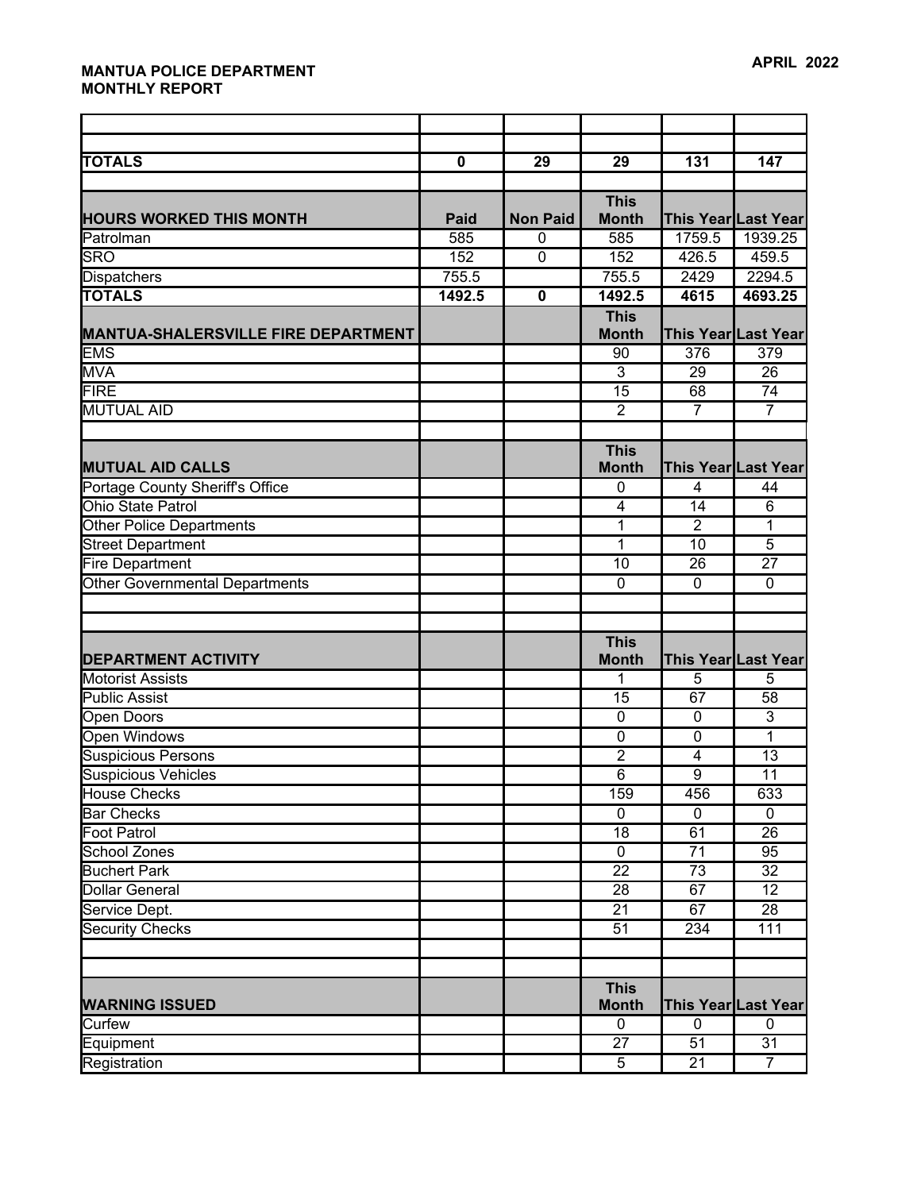| <b>TOTALS</b>                              | $\overline{\mathbf{0}}$ | 29              | 29              | 131             | 147                        |
|--------------------------------------------|-------------------------|-----------------|-----------------|-----------------|----------------------------|
|                                            |                         |                 | <b>This</b>     |                 |                            |
| <b>HOURS WORKED THIS MONTH</b>             | <b>Paid</b>             | <b>Non Paid</b> | <b>Month</b>    |                 | <b>This Year Last Year</b> |
| Patrolman                                  | 585                     | $\mathbf 0$     | 585             | 1759.5          | 1939.25                    |
| <b>SRO</b>                                 | 152                     | $\mathbf 0$     | 152             | 426.5           | 459.5                      |
| Dispatchers                                | 755.5                   |                 | 755.5           | 2429            | 2294.5                     |
| <b>TOTALS</b>                              | 1492.5                  | $\mathbf 0$     | 1492.5          | 4615            | 4693.25                    |
|                                            |                         |                 | <b>This</b>     |                 |                            |
| <b>MANTUA-SHALERSVILLE FIRE DEPARTMENT</b> |                         |                 | <b>Month</b>    |                 | This Year Last Year        |
| <b>EMS</b>                                 |                         |                 | 90              | 376             | 379                        |
| <b>MVA</b>                                 |                         |                 | $\overline{3}$  | 29              | 26                         |
| <b>FIRE</b>                                |                         |                 | $\overline{15}$ | 68              | 74                         |
| <b>MUTUAL AID</b>                          |                         |                 | $\overline{2}$  | $\overline{7}$  | $\overline{7}$             |
|                                            |                         |                 |                 |                 |                            |
|                                            |                         |                 | <b>This</b>     |                 |                            |
| <b>MUTUAL AID CALLS</b>                    |                         |                 | <b>Month</b>    |                 | This Year Last Year        |
| Portage County Sheriff's Office            |                         |                 | 0               | $\overline{4}$  | 44                         |
| <b>Ohio State Patrol</b>                   |                         |                 | 4               | 14              | $\,6$                      |
| <b>Other Police Departments</b>            |                         |                 | 1               | $\overline{2}$  | 1                          |
| <b>Street Department</b>                   |                         |                 | 1               | 10              | $\overline{5}$             |
| <b>Fire Department</b>                     |                         |                 | 10              | $\overline{26}$ | $\overline{27}$            |
| <b>Other Governmental Departments</b>      |                         |                 | $\mathbf 0$     | $\mathbf 0$     | 0                          |
|                                            |                         |                 |                 |                 |                            |
|                                            |                         |                 | <b>This</b>     |                 |                            |
| <b>DEPARTMENT ACTIVITY</b>                 |                         |                 | <b>Month</b>    |                 | This Year Last Year        |
| <b>Motorist Assists</b>                    |                         |                 | 1               | $\overline{5}$  | 5                          |
| <b>Public Assist</b>                       |                         |                 | $\overline{15}$ | 67              | 58                         |
| Open Doors                                 |                         |                 | $\overline{0}$  | $\mathbf 0$     | $\overline{3}$             |
| Open Windows                               |                         |                 | $\mathbf 0$     | $\overline{0}$  | 1                          |
| <b>Suspicious Persons</b>                  |                         |                 | $\overline{2}$  | 4               | $\overline{13}$            |
| <b>Suspicious Vehicles</b>                 |                         |                 | $\overline{6}$  | $\overline{9}$  | 11                         |
| <b>House Checks</b>                        |                         |                 | 159             | 456             | 633                        |
| <b>Bar Checks</b>                          |                         |                 | $\overline{0}$  | $\overline{0}$  | $\overline{0}$             |
| Foot Patrol                                |                         |                 | 18              | 61              | 26                         |
| School Zones                               |                         |                 | $\overline{0}$  | $\overline{71}$ | 95                         |
| <b>Buchert Park</b>                        |                         |                 | $\overline{22}$ | 73              | 32                         |
| <b>Dollar General</b>                      |                         |                 | 28              | 67              | 12                         |
| Service Dept.                              |                         |                 | 21              | 67              | 28                         |
| <b>Security Checks</b>                     |                         |                 | $\overline{51}$ | 234             | 111                        |
|                                            |                         |                 |                 |                 |                            |
|                                            |                         |                 |                 |                 |                            |
|                                            |                         |                 | <b>This</b>     |                 |                            |
| <b>WARNING ISSUED</b>                      |                         |                 | <b>Month</b>    |                 | <b>This Year Last Year</b> |
| Curfew                                     |                         |                 | $\pmb{0}$       | $\pmb{0}$       | $\mathbf 0$                |
| Equipment                                  |                         |                 | 27              | 51              | 31                         |
| <b>Registration</b>                        |                         |                 | $\overline{5}$  | 21              | $\overline{7}$             |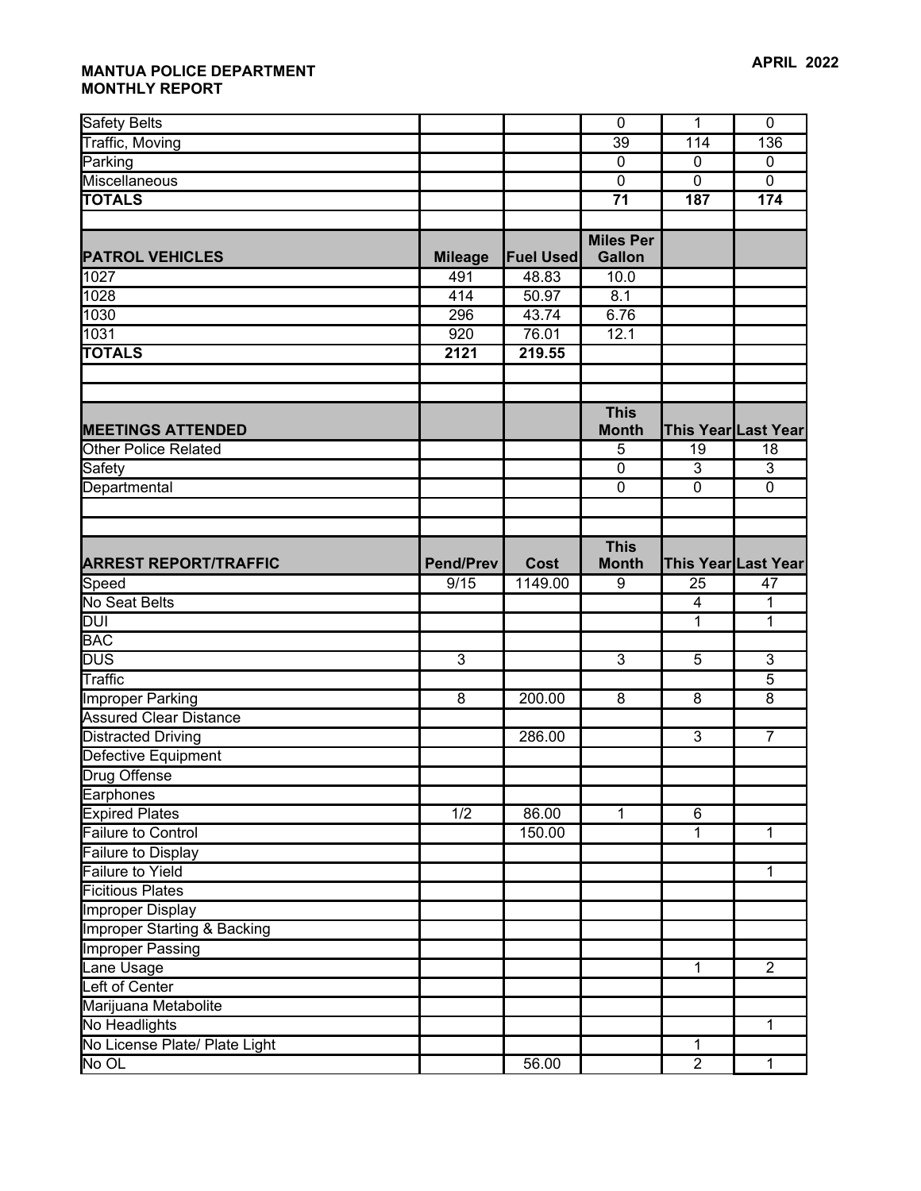| <b>Safety Belts</b>                    |                  |                  | $\mathbf 0$      | $\overline{1}$           | $\mathbf 0$                |
|----------------------------------------|------------------|------------------|------------------|--------------------------|----------------------------|
| Traffic, Moving                        |                  |                  | 39               | 114                      | 136                        |
| Parking                                |                  |                  | $\mathbf 0$      | $\mathbf 0$              | $\mathbf 0$                |
| Miscellaneous                          |                  |                  | $\overline{0}$   | $\overline{0}$           | $\overline{0}$             |
| <b>TOTALS</b>                          |                  |                  | $\overline{71}$  | 187                      | 174                        |
|                                        |                  |                  |                  |                          |                            |
|                                        |                  |                  | <b>Miles Per</b> |                          |                            |
| <b>PATROL VEHICLES</b>                 | <b>Mileage</b>   | <b>Fuel Used</b> | <b>Gallon</b>    |                          |                            |
| 1027                                   | 491              | 48.83            | 10.0             |                          |                            |
| 1028                                   | 414              | 50.97            | 8.1              |                          |                            |
| 1030                                   | 296              | 43.74            | 6.76             |                          |                            |
| 1031                                   | 920              | 76.01            | 12.1             |                          |                            |
| <b>TOTALS</b>                          | 2121             | 219.55           |                  |                          |                            |
|                                        |                  |                  |                  |                          |                            |
|                                        |                  |                  |                  |                          |                            |
|                                        |                  |                  | <b>This</b>      |                          |                            |
| <b>MEETINGS ATTENDED</b>               |                  |                  | <b>Month</b>     |                          | This Year Last Year        |
| Other Police Related                   |                  |                  | 5                | 19                       | 18                         |
| Safety                                 |                  |                  | $\mathbf 0$      | 3                        | 3                          |
| Departmental                           |                  |                  | $\overline{0}$   | $\overline{0}$           | $\overline{0}$             |
|                                        |                  |                  |                  |                          |                            |
|                                        |                  |                  |                  |                          |                            |
|                                        |                  |                  | <b>This</b>      |                          |                            |
| <b>ARREST REPORT/TRAFFIC</b>           | <b>Pend/Prev</b> | Cost             | <b>Month</b>     |                          | <b>This Year Last Year</b> |
| Speed                                  | 9/15             | 1149.00          | 9                | 25                       | 47                         |
| No Seat Belts                          |                  |                  |                  | $\overline{\mathcal{A}}$ | 1                          |
| <b>DUI</b>                             |                  |                  |                  | 1                        | 1                          |
| <b>BAC</b>                             |                  |                  |                  |                          |                            |
| <b>DUS</b>                             | $\overline{3}$   |                  | 3                | 5                        | $\mathbf{3}$               |
| Traffic                                |                  |                  |                  |                          | $\overline{5}$             |
| Improper Parking                       | $\overline{8}$   | 200.00           | 8                | $\overline{8}$           | 8                          |
| <b>Assured Clear Distance</b>          |                  |                  |                  |                          |                            |
| <b>Distracted Driving</b>              |                  | 286.00           |                  | $\overline{3}$           | $\overline{7}$             |
| Defective Equipment                    |                  |                  |                  |                          |                            |
| <b>Drug Offense</b>                    |                  |                  |                  |                          |                            |
| Earphones                              |                  |                  |                  |                          |                            |
| <b>Expired Plates</b>                  | $\overline{1/2}$ | 86.00            | 1                | $\overline{6}$           |                            |
| Failure to Control                     |                  | 150.00           |                  | 1                        | 1                          |
| <b>Failure to Display</b>              |                  |                  |                  |                          |                            |
| <b>Failure to Yield</b>                |                  |                  |                  |                          | 1                          |
| <b>Ficitious Plates</b>                |                  |                  |                  |                          |                            |
| Improper Display                       |                  |                  |                  |                          |                            |
| <b>Improper Starting &amp; Backing</b> |                  |                  |                  |                          |                            |
| <b>Improper Passing</b>                |                  |                  |                  |                          |                            |
| Lane Usage                             |                  |                  |                  | $\overline{1}$           | $\overline{2}$             |
| Left of Center                         |                  |                  |                  |                          |                            |
| Marijuana Metabolite                   |                  |                  |                  |                          |                            |
| No Headlights                          |                  |                  |                  |                          | 1                          |
| No License Plate/ Plate Light          |                  | 56.00            |                  | 1<br>$\overline{2}$      |                            |
| No OL                                  |                  |                  |                  |                          | 1                          |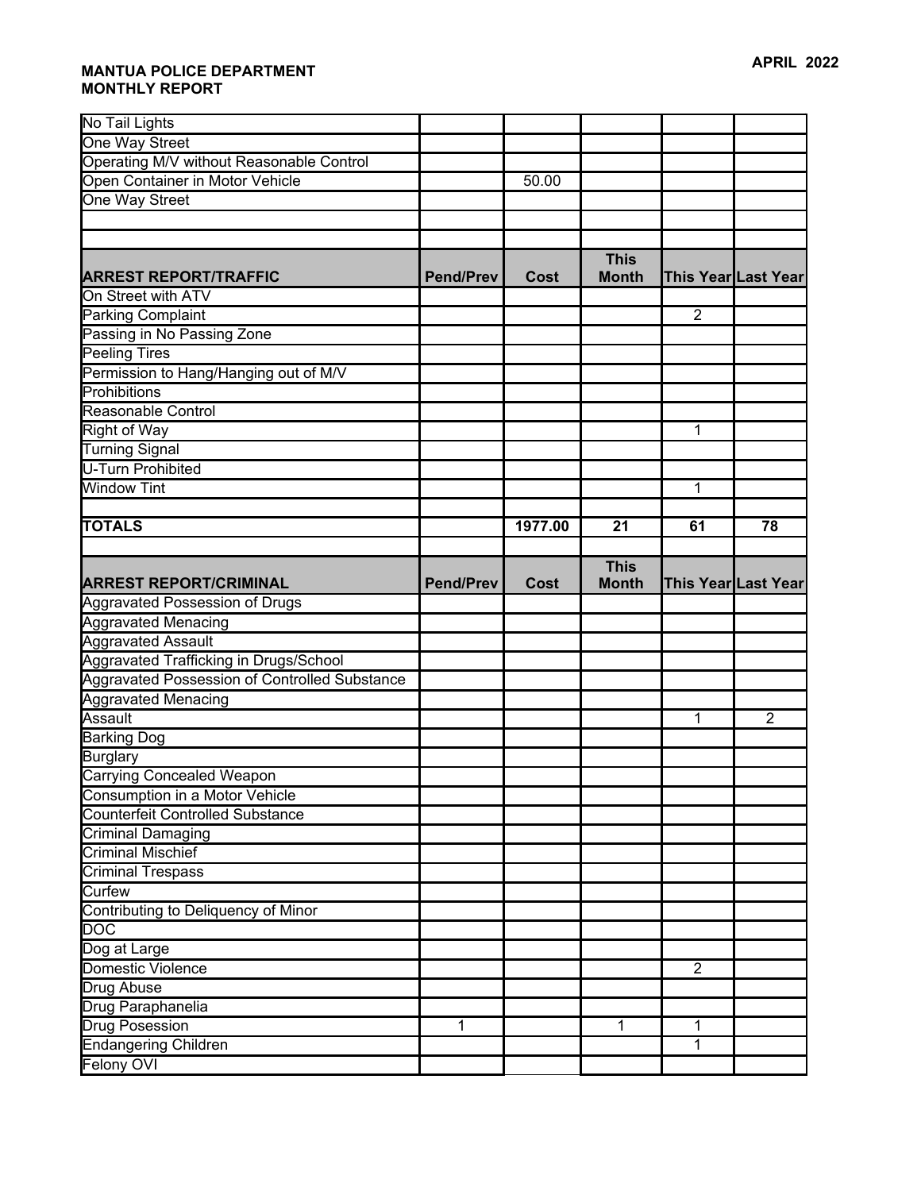| No Tail Lights                                |                  |         |              |                     |                |
|-----------------------------------------------|------------------|---------|--------------|---------------------|----------------|
| One Way Street                                |                  |         |              |                     |                |
| Operating M/V without Reasonable Control      |                  |         |              |                     |                |
| Open Container in Motor Vehicle               |                  | 50.00   |              |                     |                |
| One Way Street                                |                  |         |              |                     |                |
|                                               |                  |         |              |                     |                |
|                                               |                  |         |              |                     |                |
|                                               |                  |         | <b>This</b>  |                     |                |
| <b>ARREST REPORT/TRAFFIC</b>                  | <b>Pend/Prev</b> | Cost    | <b>Month</b> | This Year Last Year |                |
| On Street with ATV                            |                  |         |              |                     |                |
| Parking Complaint                             |                  |         |              | $\overline{2}$      |                |
| Passing in No Passing Zone                    |                  |         |              |                     |                |
| Peeling Tires                                 |                  |         |              |                     |                |
| Permission to Hang/Hanging out of M/V         |                  |         |              |                     |                |
| Prohibitions                                  |                  |         |              |                     |                |
| Reasonable Control                            |                  |         |              |                     |                |
| Right of Way                                  |                  |         |              | 1                   |                |
| <b>Turning Signal</b>                         |                  |         |              |                     |                |
| U-Turn Prohibited                             |                  |         |              |                     |                |
| <b>Window Tint</b>                            |                  |         |              | $\mathbf{1}$        |                |
|                                               |                  |         |              |                     |                |
| <b>TOTALS</b>                                 |                  | 1977.00 | 21           | 61                  | 78             |
|                                               |                  |         |              |                     |                |
|                                               |                  |         | <b>This</b>  |                     |                |
| <b>ARREST REPORT/CRIMINAL</b>                 | <b>Pend/Prev</b> | Cost    | <b>Month</b> | This Year Last Year |                |
| <b>Aggravated Possession of Drugs</b>         |                  |         |              |                     |                |
| <b>Aggravated Menacing</b>                    |                  |         |              |                     |                |
| <b>Aggravated Assault</b>                     |                  |         |              |                     |                |
| Aggravated Trafficking in Drugs/School        |                  |         |              |                     |                |
|                                               |                  |         |              |                     |                |
| Aggravated Possession of Controlled Substance |                  |         |              |                     |                |
| <b>Aggravated Menacing</b>                    |                  |         |              |                     |                |
| Assault                                       |                  |         |              | 1                   | $\overline{2}$ |
| <b>Barking Dog</b>                            |                  |         |              |                     |                |
| <b>Burglary</b>                               |                  |         |              |                     |                |
| <b>Carrying Concealed Weapon</b>              |                  |         |              |                     |                |
| Consumption in a Motor Vehicle                |                  |         |              |                     |                |
| <b>Counterfeit Controlled Substance</b>       |                  |         |              |                     |                |
| <b>Criminal Damaging</b>                      |                  |         |              |                     |                |
| <b>Criminal Mischief</b>                      |                  |         |              |                     |                |
| <b>Criminal Trespass</b>                      |                  |         |              |                     |                |
| Curfew                                        |                  |         |              |                     |                |
| Contributing to Deliquency of Minor           |                  |         |              |                     |                |
| $\overline{DOC}$                              |                  |         |              |                     |                |
| Dog at Large                                  |                  |         |              |                     |                |
| Domestic Violence                             |                  |         |              | $\overline{2}$      |                |
| Drug Abuse                                    |                  |         |              |                     |                |
| Drug Paraphanelia                             |                  |         |              |                     |                |
| <b>Drug Posession</b>                         | 1                |         | 1            | 1                   |                |
| <b>Endangering Children</b><br>Felony OVI     |                  |         |              | $\mathbf{1}$        |                |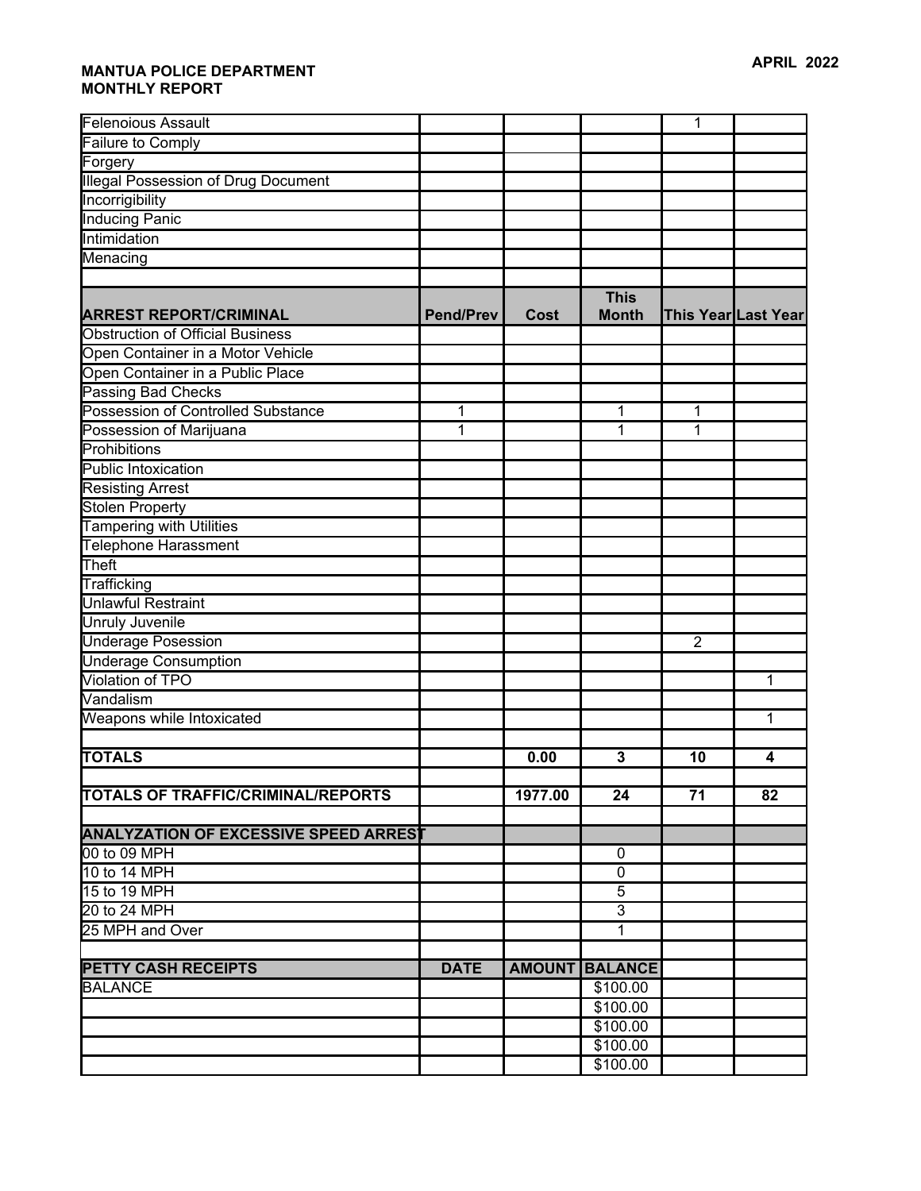| <b>Felenoious Assault</b>                    |                  |         |                             | 1              |                     |
|----------------------------------------------|------------------|---------|-----------------------------|----------------|---------------------|
| Failure to Comply                            |                  |         |                             |                |                     |
| Forgery                                      |                  |         |                             |                |                     |
| <b>Illegal Possession of Drug Document</b>   |                  |         |                             |                |                     |
| Incorrigibility                              |                  |         |                             |                |                     |
| <b>Inducing Panic</b>                        |                  |         |                             |                |                     |
| Intimidation                                 |                  |         |                             |                |                     |
| Menacing                                     |                  |         |                             |                |                     |
|                                              |                  |         |                             |                |                     |
| <b>ARREST REPORT/CRIMINAL</b>                | <b>Pend/Prev</b> | Cost    | <b>This</b><br><b>Month</b> |                | This Year Last Year |
| <b>Obstruction of Official Business</b>      |                  |         |                             |                |                     |
| Open Container in a Motor Vehicle            |                  |         |                             |                |                     |
| Open Container in a Public Place             |                  |         |                             |                |                     |
| <b>Passing Bad Checks</b>                    |                  |         |                             |                |                     |
| Possession of Controlled Substance           | $\mathbf{1}$     |         | 1                           | 1              |                     |
| Possession of Marijuana                      | 1                |         | 1                           | 1              |                     |
| Prohibitions                                 |                  |         |                             |                |                     |
| Public Intoxication                          |                  |         |                             |                |                     |
| <b>Resisting Arrest</b>                      |                  |         |                             |                |                     |
| Stolen Property                              |                  |         |                             |                |                     |
| <b>Tampering with Utilities</b>              |                  |         |                             |                |                     |
| <b>Telephone Harassment</b>                  |                  |         |                             |                |                     |
| Theft                                        |                  |         |                             |                |                     |
| Trafficking                                  |                  |         |                             |                |                     |
| <b>Unlawful Restraint</b>                    |                  |         |                             |                |                     |
| <b>Unruly Juvenile</b>                       |                  |         |                             |                |                     |
| Underage Posession                           |                  |         |                             | $\overline{2}$ |                     |
| <b>Underage Consumption</b>                  |                  |         |                             |                |                     |
| <b>Violation of TPO</b>                      |                  |         |                             |                | 1                   |
| Vandalism                                    |                  |         |                             |                |                     |
| Weapons while Intoxicated                    |                  |         |                             |                | 1                   |
|                                              |                  |         |                             |                |                     |
| <b>TOTALS</b>                                |                  | 0.00    | 3                           | 10             | 4                   |
|                                              |                  |         |                             |                |                     |
| <b>TOTALS OF TRAFFIC/CRIMINAL/REPORTS</b>    |                  | 1977.00 | 24                          | 71             | 82                  |
|                                              |                  |         |                             |                |                     |
| <b>ANALYZATION OF EXCESSIVE SPEED ARREST</b> |                  |         |                             |                |                     |
| 00 to 09 MPH                                 |                  |         | 0                           |                |                     |
| 10 to 14 MPH                                 |                  |         | $\mathbf 0$                 |                |                     |
| 15 to 19 MPH                                 |                  |         | $\sqrt{5}$                  |                |                     |
| 20 to 24 MPH                                 |                  |         | 3                           |                |                     |
| 25 MPH and Over                              |                  |         | 1                           |                |                     |
|                                              | <b>DATE</b>      |         |                             |                |                     |
| <b>PETTY CASH RECEIPTS</b>                   |                  |         | <b>AMOUNT BALANCE</b>       |                |                     |
| BALANCE                                      |                  |         | \$100.00                    |                |                     |
|                                              |                  |         | \$100.00                    |                |                     |
|                                              |                  |         | \$100.00<br>\$100.00        |                |                     |
|                                              |                  |         | \$100.00                    |                |                     |
|                                              |                  |         |                             |                |                     |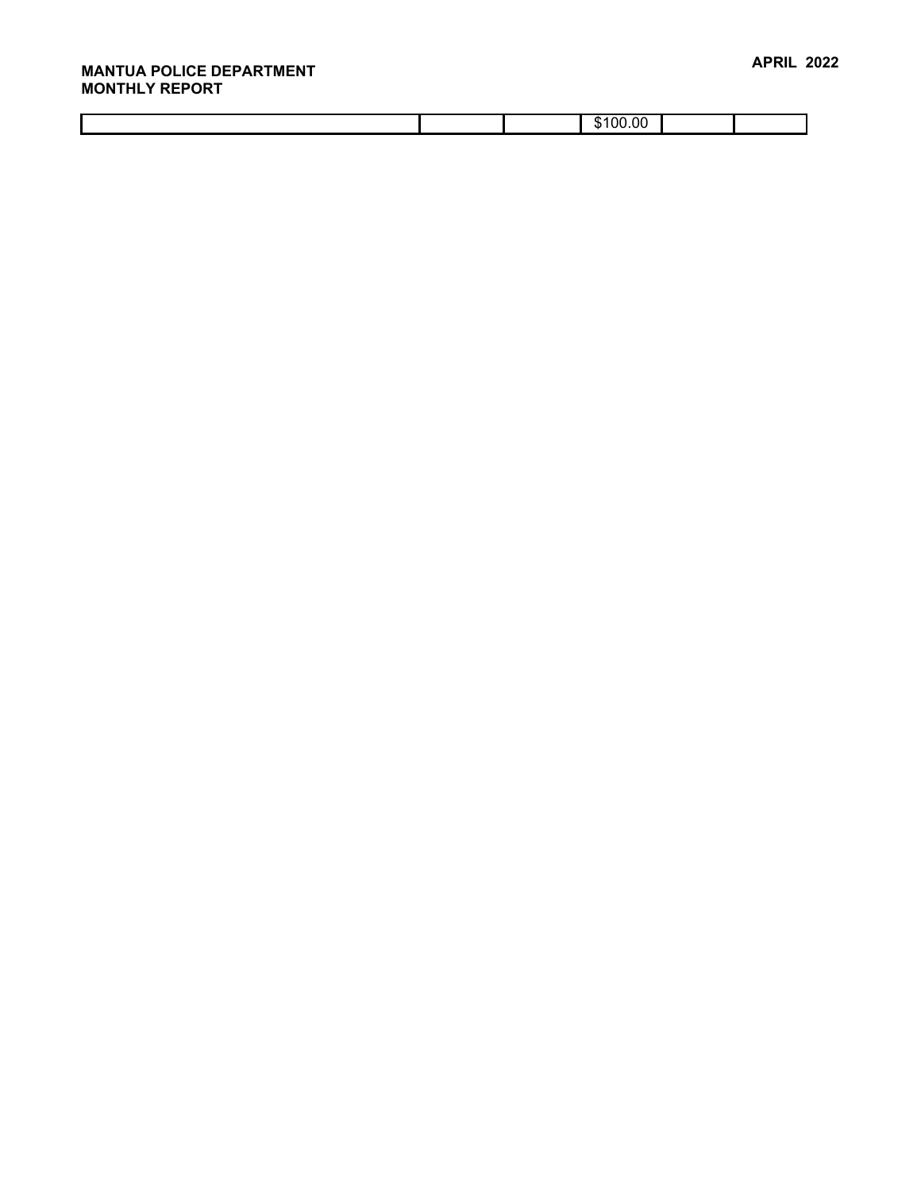|  | ĸ<br>O<br>د ۱ |  |
|--|---------------|--|
|  |               |  |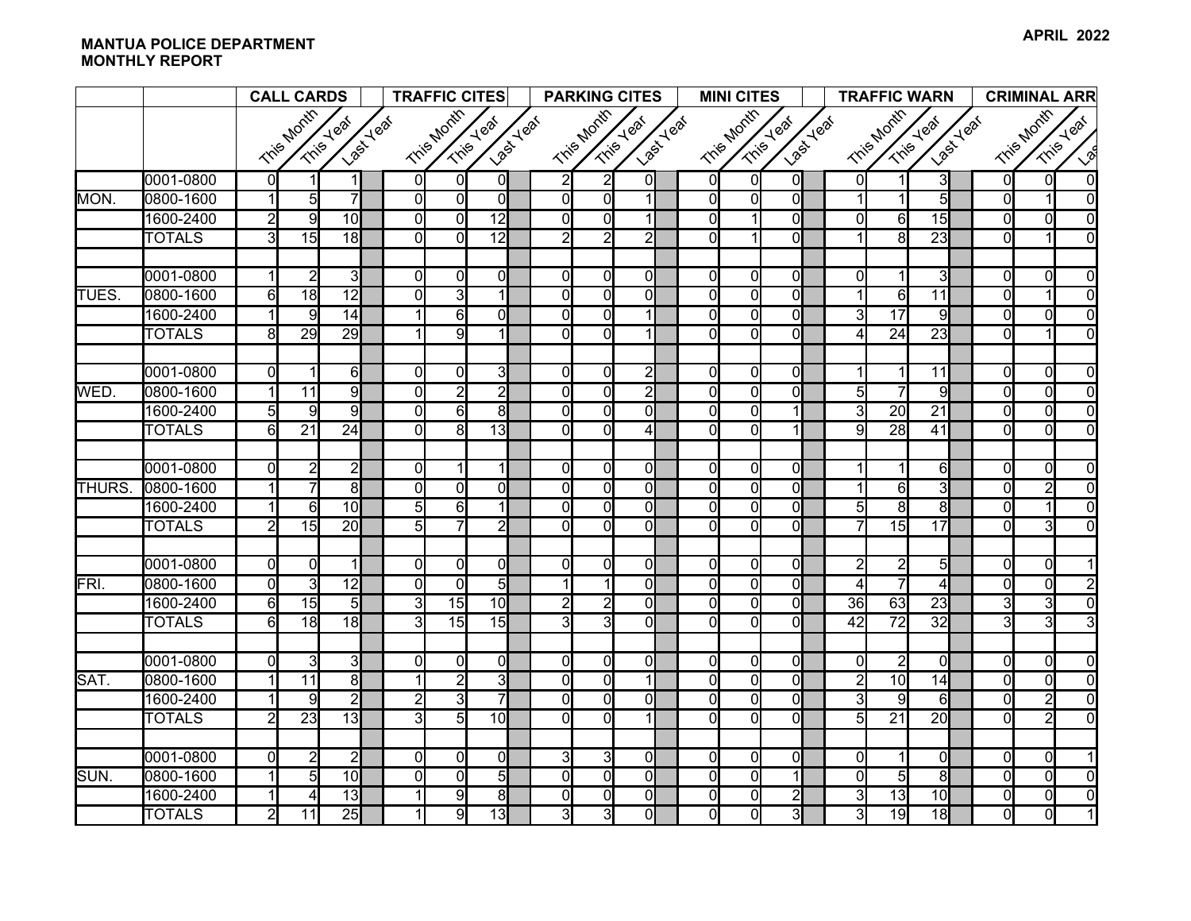|              |               | <b>CALL CARDS</b> |                 |                                       | <b>TRAFFIC CITES</b> |                |                                |  |                                      | <b>PARKING CITES</b> |                |  | <b>MINI CITES</b> |                                |                |                                               | <b>TRAFFIC WARN</b> |                 |                 |                         | <b>CRIMINAL ARR</b> |                |                |
|--------------|---------------|-------------------|-----------------|---------------------------------------|----------------------|----------------|--------------------------------|--|--------------------------------------|----------------------|----------------|--|-------------------|--------------------------------|----------------|-----------------------------------------------|---------------------|-----------------|-----------------|-------------------------|---------------------|----------------|----------------|
|              |               |                   | Tris Month      | <b>Last Yeal</b><br><b>Trins Year</b> |                      | Tris Month     | <b>Last Yeat</b><br>Trise Year |  | Tris Month<br>Last Year<br>Tris Year |                      |                |  | Tris Month        | Last Year<br><b>Trins Year</b> |                | Tris Month<br><b>Last Yeat</b><br>Trisey Year |                     |                 |                 | Tris Month<br>Tris Year |                     |                |                |
|              |               |                   |                 |                                       |                      |                |                                |  |                                      |                      |                |  |                   |                                |                |                                               |                     |                 |                 |                         |                     |                | $\sqrt{2}$     |
|              | 0001-0800     | $\mathbf{0}$      |                 |                                       | 0I                   | $\overline{0}$ | 0I                             |  | $\overline{2}$                       | $\overline{2}$       | $\mathsf{O}$   |  | $\overline{0}$    | $\overline{0}$                 | $\overline{0}$ |                                               | 01                  |                 | 3               |                         | $\overline{0}$      | $\Omega$       | $\Omega$       |
| MON.         | 0800-1600     | $\vert$ 1         | $5\overline{)}$ | $\overline{7}$                        | $\mathbf{0}$         | $\overline{0}$ | $\Omega$                       |  | $\overline{0}$                       | $\overline{0}$       | $\mathbf{1}$   |  | $\overline{0}$    | $\Omega$                       | $\overline{0}$ |                                               |                     | $\mathbf{1}$    | 5               |                         | $\overline{0}$      |                | $\Omega$       |
|              | 1600-2400     | $\overline{2}$    | 9               | 10                                    | ΩI                   | $\overline{0}$ | $\overline{12}$                |  | $\Omega$                             | $\Omega$             | 1              |  | $\overline{0}$    |                                | $\overline{0}$ |                                               | $\Omega$            | 6               | 15              |                         | $\overline{0}$      | $\Omega$       | $\Omega$       |
|              | <b>TOTALS</b> | 3                 | $\overline{15}$ | $\overline{18}$                       | $\Omega$             | $\Omega$       | $\overline{12}$                |  | $\overline{2}$                       | $\overline{2}$       | $\overline{2}$ |  | $\Omega$          |                                | $\overline{0}$ |                                               |                     | 8               | $\overline{23}$ |                         | $\Omega$            |                | $\Omega$       |
|              |               |                   |                 |                                       |                      |                |                                |  |                                      |                      |                |  |                   |                                |                |                                               |                     |                 |                 |                         |                     |                |                |
|              | 0001-0800     | $\mathbf{1}$      | $\overline{2}$  | $\overline{3}$                        | 0l                   | $\overline{0}$ | $\Omega$                       |  | 0                                    | $\overline{0}$       | $\overline{0}$ |  | $\overline{0}$    | $\overline{0}$                 | $\overline{0}$ |                                               | 0                   | 1               | 3               |                         | $\overline{0}$      | $\Omega$       | $\Omega$       |
| <b>TUES</b>  | 0800-1600     | 6                 | 18              | $\overline{12}$                       | $\Omega$             | $\overline{3}$ |                                |  | $\Omega$                             | $\overline{0}$       | $\overline{0}$ |  | $\overline{0}$    | $\Omega$                       | $\overline{0}$ |                                               |                     | 6               | 11              |                         | $\Omega$            |                | $\Omega$       |
|              | 1600-2400     | $\mathbf{1}$      | 9               | 14                                    |                      | 6              | ΩI                             |  | 0                                    | $\overline{0}$       | $\mathbf{1}$   |  | $\overline{0}$    | $\Omega$                       | $\overline{0}$ |                                               | 3                   | $\overline{17}$ | 9               |                         | $\Omega$            | $\Omega$       | $\overline{0}$ |
|              | <b>TOTALS</b> | 8                 | 29              | 29                                    |                      | $\overline{9}$ | 1                              |  | $\Omega$                             | $\overline{0}$       | $\mathbf{1}$   |  | $\overline{0}$    | $\Omega$                       | $\overline{0}$ |                                               | 4                   | $\overline{24}$ | 23              |                         | $\overline{0}$      |                | $\Omega$       |
|              |               |                   |                 |                                       |                      |                |                                |  |                                      |                      |                |  |                   |                                |                |                                               |                     |                 |                 |                         |                     |                |                |
|              | 0001-0800     | 0l                | $\mathbf 1$     | 6                                     | $\Omega$             | 0l             | 31                             |  | 0                                    | $\overline{0}$       | $\overline{2}$ |  | $\overline{0}$    | $\Omega$                       | $\overline{0}$ |                                               | 1                   | $\mathbf{1}$    | 11              |                         | $\overline{0}$      | $\Omega$       | $\Omega$       |
| WED.         | 0800-1600     | $\vert$           | 11              | 9                                     | ΩI                   | $\overline{2}$ | $\overline{2}$                 |  | $\overline{0}$                       | $\overline{0}$       | $\overline{2}$ |  | $\overline{0}$    | $\Omega$                       | $\Omega$       |                                               | $\overline{5}$      | $\overline{7}$  | $\overline{9}$  |                         | $\Omega$            | $\Omega$       | $\Omega$       |
|              | 1600-2400     | $\overline{5}$    | 9               | $\overline{9}$                        | Οl                   | 6              | $\overline{8}$                 |  | $\Omega$                             | $\overline{0}$       | $\overline{0}$ |  | $\overline{0}$    | $\Omega$                       |                |                                               | $\overline{3}$      | $\overline{20}$ | $\overline{21}$ |                         | $\overline{0}$      | $\Omega$       | $\overline{0}$ |
|              | <b>TOTALS</b> | $6 \overline{}$   | $\overline{21}$ | $\overline{24}$                       | ΩI                   | $\overline{8}$ | 13                             |  | $\Omega$                             | $\Omega$             | $\overline{4}$ |  | $\Omega$          | ΩI                             | 1              |                                               | 9                   | 28              | 41              |                         | $\Omega$            | $\Omega$       | $\Omega$       |
|              | 0001-0800     | $\overline{0}$    | $\overline{2}$  | $\overline{2}$                        | ΩI                   |                |                                |  | $\Omega$                             | $\overline{0}$       | $\overline{0}$ |  | $\overline{0}$    | $\overline{0}$                 | $\overline{0}$ |                                               |                     | 1               | $\overline{6}$  |                         | $\overline{0}$      | $\Omega$       | $\Omega$       |
| <b>THURS</b> | 0800-1600     | 1                 |                 | 8 <sup>1</sup>                        | ΩI                   | $\Omega$       | ΩI                             |  | $\Omega$                             | $\overline{0}$       | $\overline{0}$ |  | $\overline{0}$    | $\Omega$                       | $\overline{0}$ |                                               |                     | 6               | 3               |                         | $\Omega$            | $\overline{2}$ | $\Omega$       |
|              | 1600-2400     | 1                 | 6               | 10 <sup>1</sup>                       | $5 \mathsf{l}$       | $6 \mid$       |                                |  | $\Omega$                             | $\overline{0}$       | <sub>0</sub>   |  | $\overline{0}$    | $\Omega$                       | $\overline{0}$ |                                               | 5                   | 8               | 8               |                         | $\Omega$            | 1              | $\Omega$       |
|              | <b>TOTALS</b> | $\overline{2}$    | 15              | 20                                    | 5                    |                | $\overline{2}$                 |  | $\Omega$                             | $\overline{0}$       | $\overline{0}$ |  | $\Omega$          | $\Omega$                       | $\overline{0}$ |                                               | 7                   | 15              | 17              |                         | $\Omega$            | $\overline{3}$ | $\Omega$       |
|              |               |                   |                 |                                       |                      |                |                                |  |                                      |                      |                |  |                   |                                |                |                                               |                     |                 |                 |                         |                     |                |                |
|              | 0001-0800     | 0l                | $\Omega$        | 1                                     | $\Omega$             | $\Omega$       | $\Omega$                       |  | $\Omega$                             | $\overline{0}$       | $\overline{0}$ |  | $\Omega$          | $\Omega$                       | $\Omega$       |                                               | $\mathsf{2}$        | $\mathbf{2}$    | $5\overline{2}$ |                         | $\Omega$            | $\Omega$       |                |
| FRI.         | 0800-1600     | $\overline{0}$    | $\overline{3}$  | $\overline{12}$                       | $\Omega$             | $\Omega$       | $5\overline{)}$                |  |                                      | 1                    | $\overline{0}$ |  | $\overline{0}$    | $\Omega$                       | $\overline{0}$ |                                               | 4                   | $\overline{7}$  | 4               |                         | $\overline{0}$      | $\Omega$       |                |
|              | 1600-2400     | 6                 | 15              | $\overline{5}$                        | 3                    | 15             | 10                             |  | 2                                    | $\overline{2}$       | $\overline{0}$ |  | $\overline{0}$    | $\Omega$                       | $\overline{0}$ |                                               | 36                  | 63              | $\overline{23}$ |                         | $\overline{3}$      | $\overline{3}$ | $\Omega$       |
|              | <b>TOTALS</b> | 6                 | 18              | 18                                    | 31                   | 15             | 15                             |  | $\overline{3}$                       | IJ                   | $\overline{0}$ |  | $\overline{0}$    | $\Omega$                       | $\overline{0}$ |                                               | 42                  | $\overline{72}$ | $\overline{32}$ |                         | 3                   | $\overline{3}$ |                |
|              |               |                   |                 |                                       |                      |                |                                |  |                                      |                      |                |  |                   |                                |                |                                               |                     |                 |                 |                         |                     |                |                |
|              | 0001-0800     | 0l                | $\overline{3}$  | $\overline{3}$                        | ΩI                   | 0l             | $\Omega$                       |  | 0                                    | $\overline{0}$       | ol             |  | $\overline{0}$    | $\overline{0}$                 | $\overline{0}$ |                                               | $\Omega$            | $\overline{2}$  | $\overline{0}$  |                         | $\overline{0}$      | 0l             | $\Omega$       |
| SAT.         | 0800-1600     | 1                 | $\overline{11}$ | $\overline{8}$                        |                      | $\overline{2}$ | 3                              |  | 0                                    | $\overline{0}$       | 1              |  | $\overline{0}$    | $\Omega$                       | $\overline{0}$ |                                               | $\overline{2}$      | 10              | 14              |                         | $\overline{0}$      | $\Omega$       | $\Omega$       |
|              | 1600-2400     |                   | 9               | $\overline{2}$                        | $\overline{2}$       | 3              |                                |  | $\Omega$                             | $\overline{0}$       | $\overline{0}$ |  | $\mathsf{O}$      | $\Omega$                       | $\overline{0}$ |                                               | 3                   | $\overline{9}$  | 6               |                         | $\Omega$            | $\overline{2}$ | $\Omega$       |
|              | <b>TOTALS</b> | $\overline{2}$    | 23              | 13                                    | $\overline{3}$       | $\overline{5}$ | 10                             |  | $\Omega$                             | $\overline{0}$       | $\mathbf{1}$   |  | $\overline{0}$    | $\Omega$                       | $\overline{0}$ |                                               | 5 <sub>l</sub>      | $\overline{21}$ | 20              |                         | $\Omega$            | $\overline{2}$ | $\Omega$       |
|              |               |                   |                 |                                       |                      |                |                                |  |                                      |                      |                |  |                   |                                |                |                                               |                     |                 |                 |                         |                     |                |                |
|              | 0001-0800     | $\mathbf{0}$      | $\overline{2}$  | $\overline{2}$                        | Οl                   | $\Omega$       | $\Omega$                       |  | 3                                    | $\mathbf{3}$         | $\overline{0}$ |  | $\overline{0}$    | $\overline{0}$                 | $\overline{0}$ |                                               | 0                   |                 | $\Omega$        |                         | $\Omega$            | $\Omega$       |                |
| SUN.         | 0800-1600     |                   | 5 <sub>l</sub>  | 10                                    | $\Omega$             | $\overline{0}$ | 5 <sub>l</sub>                 |  | $\Omega$                             | $\overline{0}$       | $\overline{0}$ |  | $\overline{0}$    | $\Omega$                       | 1              |                                               | $\Omega$            | $\overline{5}$  | $\overline{8}$  |                         | $\overline{0}$      | $\Omega$       | $\Omega$       |
|              | 1600-2400     |                   | 4               | 13                                    |                      | 9              | $\overline{8}$                 |  | 0                                    | $\overline{0}$       | $\overline{0}$ |  | $\overline{0}$    | $\overline{0}$                 | $\overline{2}$ |                                               | 3                   | 13              | 10              |                         | $\mathbf 0$         | $\overline{0}$ | $\overline{0}$ |
|              | <b>TOTALS</b> | $\overline{2}$    | 11              | 25                                    | 11                   | 9              | 13                             |  | 3                                    | $\overline{3}$       | $\overline{0}$ |  | $\overline{0}$    | $\overline{0}$                 | $\overline{3}$ |                                               | $\overline{3}$      | 19              | 18              |                         | $\overline{0}$      | $\overline{0}$ |                |